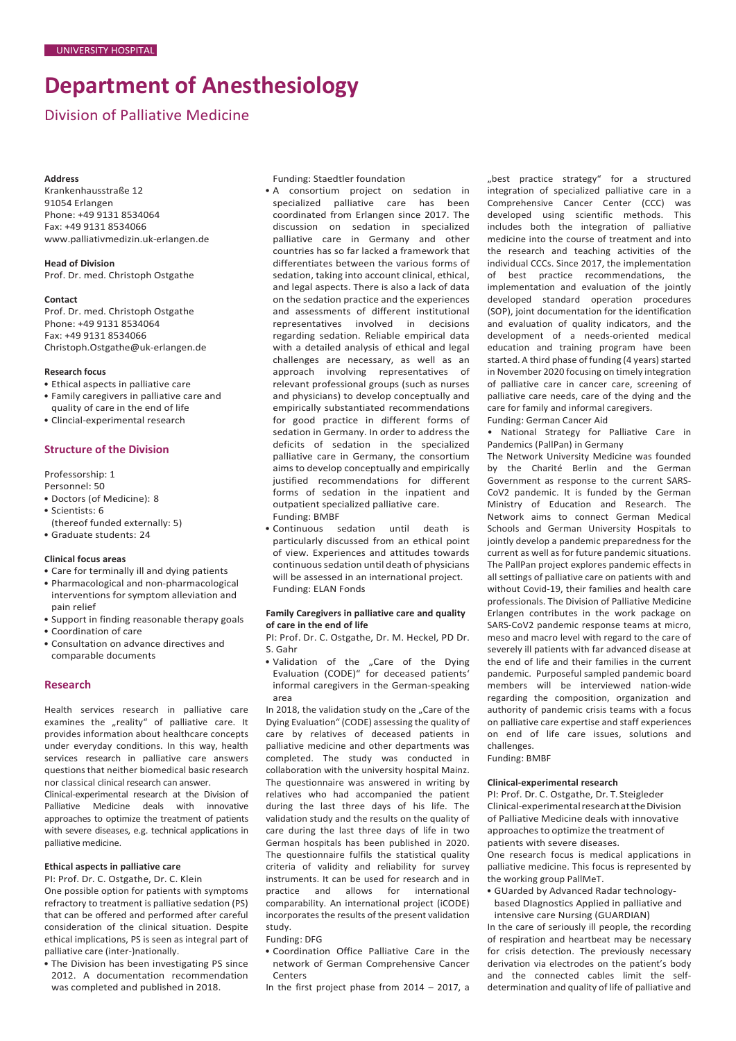# **Department of Anesthesiology**

Division of Palliative Medicine

#### **Address**

Krankenhausstraße 12 91054 Erlangen Phone: +49 9131 8534064 Fax: +49 9131 8534066 [www.palliativmedizin.uk-erlangen.de](http://www.palliativmedizin.uk-erlangen.de/)

**Head of Division** Prof. Dr. med. Christoph Ostgathe

#### **Contact**

Prof. Dr. med. Christoph Ostgathe Phone: +49 9131 8534064 Fax: +49 9131 8534066 [Christoph.Ostgathe@uk-erlangen.de](mailto:Christoph.Ostgathe@uk-erlangen.de)

# **Research focus**

- Ethical aspects in palliative care • Family caregivers in palliative care and
- quality of care in the end of life
- Clincial-experimental research

# **Structure of the Division**

Professorship: 1 Personnel: 50

- Doctors (of Medicine): 8
- Scientists: 6
- (thereof funded externally: 5)
- Graduate students: 24

# **Clinical focus areas**

- Care for terminally ill and dying patients
- Pharmacological and non-pharmacological interventions for symptom alleviation and pain relief
- Support in finding reasonable therapy goals • Coordination of care
- Consultation on advance directives and comparable documents

# **Research**

Health services research in palliative care examines the "reality" of palliative care. It provides information about healthcare concepts under everyday conditions. In this way, health services research in palliative care answers questionsthat neither biomedical basic research nor classical clinical research can answer.

Clinical-experimental research at the Division of Palliative Medicine deals with innovative approaches to optimize the treatment of patients with severe diseases, e.g. technical applications in palliative medicine.

# **Ethical aspects in palliative care**

PI: Prof. Dr. C. Ostgathe, Dr. C. Klein One possible option for patients with symptoms refractory to treatment is palliative sedation (PS) that can be offered and performed after careful consideration of the clinical situation. Despite ethical implications, PS is seen as integral part of palliative care (inter-)nationally.

• The Division has been investigating PS since 2012. A documentation recommendation was completed and published in 2018.

Funding: Staedtler foundation

• A consortium project on sedation in specialized palliative care has been coordinated from Erlangen since 2017. The discussion on sedation in specialized palliative care in Germany and other countries has so far lacked a framework that differentiates between the various forms of sedation, taking into account clinical, ethical, and legal aspects. There is also a lack of data on the sedation practice and the experiences and assessments of different institutional representatives involved in decisions regarding sedation. Reliable empirical data with a detailed analysis of ethical and legal challenges are necessary, as well as an approach involving representatives of relevant professional groups (such as nurses and physicians) to develop conceptually and empirically substantiated recommendations for good practice in different forms of sedation in Germany. In order to address the deficits of sedation in the specialized palliative care in Germany, the consortium aims to develop conceptually and empirically justified recommendations for different forms of sedation in the inpatient and outpatient specialized palliative care. Funding: BMBF

• Continuous sedation until death is particularly discussed from an ethical point of view. Experiences and attitudes towards continuous sedation until death of physicians will be assessed in an international project. Funding: ELAN Fonds

#### **Family Caregivers in palliative care and quality of care in the end of life**

PI: Prof. Dr. C. Ostgathe, Dr. M. Heckel, PD Dr. S. Gahr

• Validation of the "Care of the Dying Evaluation (CODE)" for deceased patients' informal caregivers in the German-speaking area

In 2018, the validation study on the "Care of the Dying Evaluation" (CODE) assessing the quality of care by relatives of deceased patients in palliative medicine and other departments was completed. The study was conducted in collaboration with the university hospital Mainz. The questionnaire was answered in writing by relatives who had accompanied the patient during the last three days of his life. The validation study and the results on the quality of care during the last three days of life in two German hospitals has been published in 2020. The questionnaire fulfils the statistical quality criteria of validity and reliability for survey instruments. It can be used for research and in<br>practice and allows for international practice and allows for comparability. An international project (iCODE) incorporates the results of the present validation study.

#### Funding: DFG

- Coordination Office Palliative Care in the network of German Comprehensive Cancer **Centers**
- In the first project phase from 2014 2017, a

"best practice strategy" for a structured integration of specialized palliative care in a Comprehensive Cancer Center (CCC) was<br>developed using scientific methods. This developed using scientific methods. includes both the integration of palliative medicine into the course of treatment and into the research and teaching activities of the individual CCCs. Since 2017, the implementation of best practice recommendations, the implementation and evaluation of the jointly developed standard operation procedures (SOP), joint documentation for the identification and evaluation of quality indicators, and the development of a needs-oriented medical education and training program have been started. A third phase of funding (4 years) started in November 2020 focusing on timely integration of palliative care in cancer care, screening of palliative care needs, care of the dying and the care for family and informal caregivers. Funding: German Cancer Aid

• National Strategy for Palliative Care in Pandemics (PallPan) in Germany

The Network University Medicine was founded by the Charité Berlin and the German Government as response to the current SARS-CoV2 pandemic. It is funded by the German Ministry of Education and Research. The Network aims to connect German Medical Schools and German University Hospitals to jointly develop a pandemic preparedness for the current as well as for future pandemic situations. The PallPan project explores pandemic effects in all settings of palliative care on patients with and without Covid-19, their families and health care professionals. The Division of Palliative Medicine Erlangen contributes in the work package on SARS-CoV2 pandemic response teams at micro, meso and macro level with regard to the care of severely ill patients with far advanced disease at the end of life and their families in the current pandemic. Purposeful sampled pandemic board members will be interviewed nation-wide regarding the composition, organization and authority of pandemic crisis teams with a focus on palliative care expertise and staff experiences on end of life care issues, solutions and challenges.

Funding: BMBF

### **Clinical-experimental research**

PI: Prof. Dr. C. Ostgathe, Dr. T. Steigleder Clinical-experimentalresearchattheDivision of Palliative Medicine deals with innovative approaches to optimize the treatment of patients with severe diseases.

One research focus is medical applications in palliative medicine. This focus is represented by the working group PallMeT.

• GUarded by Advanced Radar technologybased DIagnostics Applied in palliative and intensive care Nursing (GUARDIAN)

In the care of seriously ill people, the recording of respiration and heartbeat may be necessary for crisis detection. The previously necessary derivation via electrodes on the patient's body and the connected cables limit the selfdetermination and quality of life of palliative and